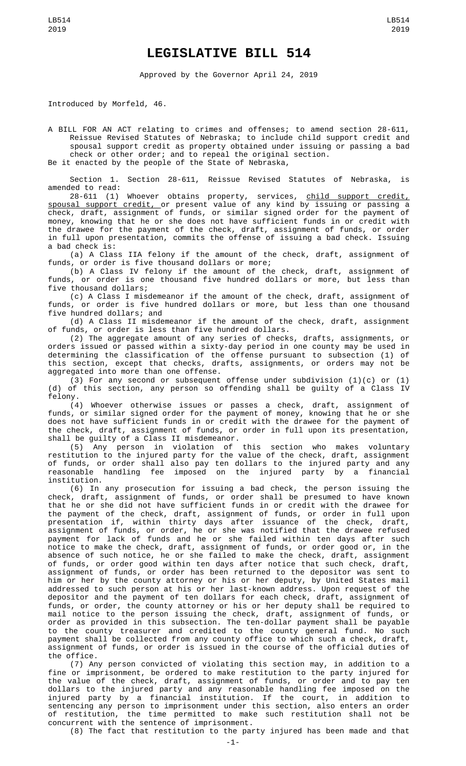## **LEGISLATIVE BILL 514**

Approved by the Governor April 24, 2019

Introduced by Morfeld, 46.

A BILL FOR AN ACT relating to crimes and offenses; to amend section 28-611, Reissue Revised Statutes of Nebraska; to include child support credit and spousal support credit as property obtained under issuing or passing a bad check or other order; and to repeal the original section. Be it enacted by the people of the State of Nebraska,

Section 1. Section 28-611, Reissue Revised Statutes of Nebraska, is amended to read:

28-611 (1) Whoever obtains property, services, <u>child support credit,</u> spousal support credit, or present value of any kind by issuing or passing a check, draft, assignment of funds, or similar signed order for the payment of money, knowing that he or she does not have sufficient funds in or credit with the drawee for the payment of the check, draft, assignment of funds, or order in full upon presentation, commits the offense of issuing a bad check. Issuing a bad check is:

(a) A Class IIA felony if the amount of the check, draft, assignment of funds, or order is five thousand dollars or more;

(b) A Class IV felony if the amount of the check, draft, assignment of funds, or order is one thousand five hundred dollars or more, but less than five thousand dollars;

(c) A Class I misdemeanor if the amount of the check, draft, assignment of funds, or order is five hundred dollars or more, but less than one thousand five hundred dollars; and

(d) A Class II misdemeanor if the amount of the check, draft, assignment of funds, or order is less than five hundred dollars.

(2) The aggregate amount of any series of checks, drafts, assignments, or orders issued or passed within a sixty-day period in one county may be used in determining the classification of the offense pursuant to subsection (1) of this section, except that checks, drafts, assignments, or orders may not be aggregated into more than one offense.

(3) For any second or subsequent offense under subdivision (1)(c) or (1) (d) of this section, any person so offending shall be guilty of a Class IV felony.

(4) Whoever otherwise issues or passes a check, draft, assignment of funds, or similar signed order for the payment of money, knowing that he or she does not have sufficient funds in or credit with the drawee for the payment of the check, draft, assignment of funds, or order in full upon its presentation, shall be guilty of a Class II misdemeanor.

(5) Any person in violation of this section who makes voluntary restitution to the injured party for the value of the check, draft, assignment of funds, or order shall also pay ten dollars to the injured party and any reasonable handling fee imposed on the injured party by a financial institution.

(6) In any prosecution for issuing a bad check, the person issuing the check, draft, assignment of funds, or order shall be presumed to have known that he or she did not have sufficient funds in or credit with the drawee for the payment of the check, draft, assignment of funds, or order in full upon presentation if, within thirty days after issuance of the check, draft, assignment of funds, or order, he or she was notified that the drawee refused payment for lack of funds and he or she failed within ten days after such notice to make the check, draft, assignment of funds, or order good or, in the absence of such notice, he or she failed to make the check, draft, assignment of funds, or order good within ten days after notice that such check, draft, assignment of funds, or order has been returned to the depositor was sent to him or her by the county attorney or his or her deputy, by United States mail addressed to such person at his or her last-known address. Upon request of the depositor and the payment of ten dollars for each check, draft, assignment of funds, or order, the county attorney or his or her deputy shall be required to mail notice to the person issuing the check, draft, assignment of funds, or order as provided in this subsection. The ten-dollar payment shall be payable to the county treasurer and credited to the county general fund. No such payment shall be collected from any county office to which such a check, draft, assignment of funds, or order is issued in the course of the official duties of the office.

(7) Any person convicted of violating this section may, in addition to a fine or imprisonment, be ordered to make restitution to the party injured for the value of the check, draft, assignment of funds, or order and to pay ten dollars to the injured party and any reasonable handling fee imposed on the injured party by a financial institution. If the court, in addition to sentencing any person to imprisonment under this section, also enters an order of restitution, the time permitted to make such restitution shall not be concurrent with the sentence of imprisonment.

(8) The fact that restitution to the party injured has been made and that